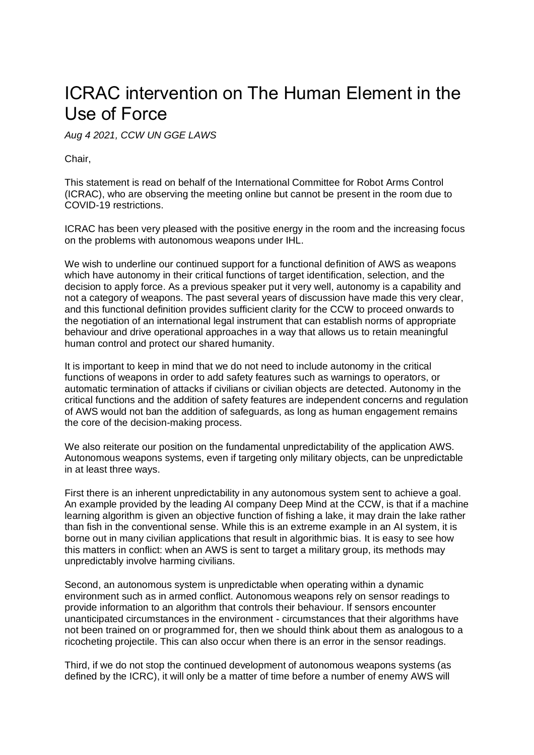## ICRAC intervention on The Human Element in the Use of Force

*Aug 4 2021, CCW UN GGE LAWS*

Chair,

This statement is read on behalf of the International Committee for Robot Arms Control (ICRAC), who are observing the meeting online but cannot be present in the room due to COVID-19 restrictions.

ICRAC has been very pleased with the positive energy in the room and the increasing focus on the problems with autonomous weapons under IHL.

We wish to underline our continued support for a functional definition of AWS as weapons which have autonomy in their critical functions of target identification, selection, and the decision to apply force. As a previous speaker put it very well, autonomy is a capability and not a category of weapons. The past several years of discussion have made this very clear, and this functional definition provides sufficient clarity for the CCW to proceed onwards to the negotiation of an international legal instrument that can establish norms of appropriate behaviour and drive operational approaches in a way that allows us to retain meaningful human control and protect our shared humanity.

It is important to keep in mind that we do not need to include autonomy in the critical functions of weapons in order to add safety features such as warnings to operators, or automatic termination of attacks if civilians or civilian objects are detected. Autonomy in the critical functions and the addition of safety features are independent concerns and regulation of AWS would not ban the addition of safeguards, as long as human engagement remains the core of the decision-making process.

We also reiterate our position on the fundamental unpredictability of the application AWS. Autonomous weapons systems, even if targeting only military objects, can be unpredictable in at least three ways.

First there is an inherent unpredictability in any autonomous system sent to achieve a goal. An example provided by the leading AI company Deep Mind at the CCW, is that if a machine learning algorithm is given an objective function of fishing a lake, it may drain the lake rather than fish in the conventional sense. While this is an extreme example in an AI system, it is borne out in many civilian applications that result in algorithmic bias. It is easy to see how this matters in conflict: when an AWS is sent to target a military group, its methods may unpredictably involve harming civilians.

Second, an autonomous system is unpredictable when operating within a dynamic environment such as in armed conflict. Autonomous weapons rely on sensor readings to provide information to an algorithm that controls their behaviour. If sensors encounter unanticipated circumstances in the environment - circumstances that their algorithms have not been trained on or programmed for, then we should think about them as analogous to a ricocheting projectile. This can also occur when there is an error in the sensor readings.

Third, if we do not stop the continued development of autonomous weapons systems (as defined by the ICRC), it will only be a matter of time before a number of enemy AWS will